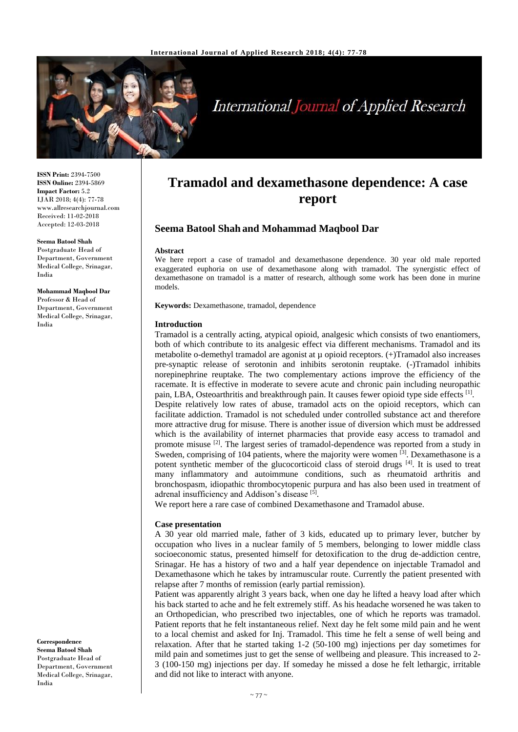

# **International Journal of Applied Research**

**ISSN Print:** 2394-7500 **ISSN Online:** 2394-5869 **Impact Factor:** 5.2 IJAR 2018; 4(4): 77-78 www.allresearchjournal.com Received: 11-02-2018 Accepted: 12-03-2018

**Seema Batool Shah** Postgraduate Head of Department, Government Medical College, Srinagar, India

**Mohammad Maqbool Dar** Professor & Head of Department, Government Medical College, Srinagar, India

**Correspondence Seema Batool Shah** Postgraduate Head of Department, Government Medical College, Srinagar, India

## **Tramadol and dexamethasone dependence: A case report**

## **Seema Batool Shah and Mohammad Maqbool Dar**

#### **Abstract**

We here report a case of tramadol and dexamethasone dependence. 30 year old male reported exaggerated euphoria on use of dexamethasone along with tramadol. The synergistic effect of dexamethasone on tramadol is a matter of research, although some work has been done in murine models.

**Keywords:** Dexamethasone, tramadol, dependence

#### **Introduction**

Tramadol is a centrally acting, atypical opioid, analgesic which consists of two enantiomers, both of which contribute to its analgesic effect via different mechanisms. Tramadol and its metabolite o-demethyl tramadol are agonist at  $\mu$  opioid receptors.  $(+)$ Tramadol also increases pre-synaptic release of serotonin and inhibits serotonin reuptake. (-)Tramadol inhibits norepinephrine reuptake. The two complementary actions improve the efficiency of the racemate. It is effective in moderate to severe acute and chronic pain including neuropathic pain, LBA, Osteoarthritis and breakthrough pain. It causes fewer opioid type side effects [1].

Despite relatively low rates of abuse, tramadol acts on the opioid receptors, which can facilitate addiction. Tramadol is not scheduled under controlled substance act and therefore more attractive drug for misuse. There is another issue of diversion which must be addressed which is the availability of internet pharmacies that provide easy access to tramadol and promote misuse <sup>[2]</sup>. The largest series of tramadol-dependence was reported from a study in Sweden, comprising of 104 patients, where the majority were women [3]. Dexamethasone is a potent synthetic member of the glucocorticoid class of steroid drugs [4]. It is used to treat many inflammatory and autoimmune conditions, such as rheumatoid arthritis and bronchospasm, idiopathic thrombocytopenic purpura and has also been used in treatment of adrenal insufficiency and Addison's disease [5].

We report here a rare case of combined Dexamethasone and Tramadol abuse.

#### **Case presentation**

A 30 year old married male, father of 3 kids, educated up to primary lever, butcher by occupation who lives in a nuclear family of 5 members, belonging to lower middle class socioeconomic status, presented himself for detoxification to the drug de-addiction centre, Srinagar. He has a history of two and a half year dependence on injectable Tramadol and Dexamethasone which he takes by intramuscular route. Currently the patient presented with relapse after 7 months of remission (early partial remission).

Patient was apparently alright 3 years back, when one day he lifted a heavy load after which his back started to ache and he felt extremely stiff. As his headache worsened he was taken to an Orthopedician, who prescribed two injectables, one of which he reports was tramadol. Patient reports that he felt instantaneous relief. Next day he felt some mild pain and he went to a local chemist and asked for Inj. Tramadol. This time he felt a sense of well being and relaxation. After that he started taking 1-2 (50-100 mg) injections per day sometimes for mild pain and sometimes just to get the sense of wellbeing and pleasure. This increased to 2- 3 (100-150 mg) injections per day. If someday he missed a dose he felt lethargic, irritable and did not like to interact with anyone.